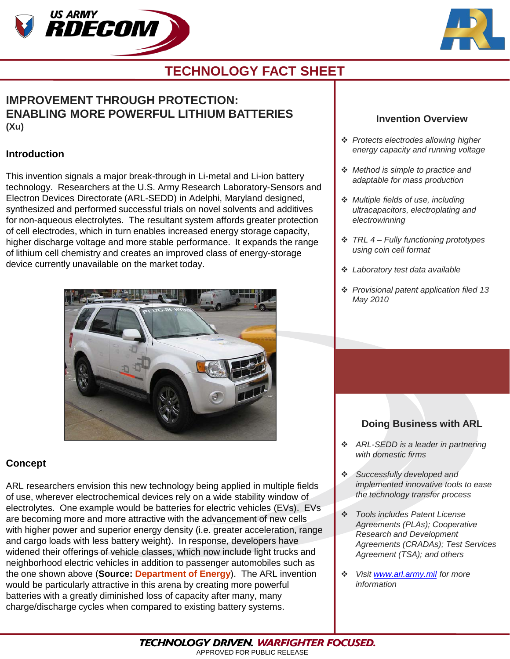



## **TECHNOLOGY FACT SHEET**

### **IMPROVEMENT THROUGH PROTECTION: ENABLING MORE POWERFUL LITHIUM BATTERIES (Xu)**

#### **Introduction**

This invention signals a major break-through in Li-metal and Li-ion battery technology. Researchers at the U.S. Army Research Laboratory-Sensors and Electron Devices Directorate (ARL-SEDD) in Adelphi, Maryland designed, synthesized and performed successful trials on novel solvents and additives for non-aqueous electrolytes. The resultant system affords greater protection of cell electrodes, which in turn enables increased energy storage capacity, higher discharge voltage and more stable performance. It expands the range of lithium cell chemistry and creates an improved class of energy-storage device currently unavailable on the market today.



### **Concept**

ARL researchers envision this new technology being applied in multiple fields of use, wherever electrochemical devices rely on a wide stability window of electrolytes. One example would be batteries for electric vehicles (EVs). EVs are becoming more and more attractive with the advancement of new cells with higher power and superior energy density (i.e. greater acceleration, range and cargo loads with less battery weight). In response, developers have widened their offerings of vehicle classes, which now include light trucks and neighborhood electric vehicles in addition to passenger automobiles such as the one shown above (**Source: Department of Energy**). The ARL invention would be particularly attractive in this arena by creating more powerful batteries with a greatly diminished loss of capacity after many, many charge/discharge cycles when compared to existing battery systems.

### **Invention Overview**

- *Protects electrodes allowing higher energy capacity and running voltage*
- *Method is simple to practice and adaptable for mass production*
- *Multiple fields of use, including ultracapacitors, electroplating and electrowinning*
- *TRL 4 – Fully functioning prototypes using coin cell format*
- *Laboratory test data available*
- *Provisional patent application filed 13 May 2010*

### **Doing Business with ARL**

- *ARL-SEDD is a leader in partnering with domestic firms*
- *Successfully developed and implemented innovative tools to ease the technology transfer process*
- *Tools includes Patent License Agreements (PLAs); Cooperative Research and Development Agreements (CRADAs); Test Services Agreement (TSA); and others*
- *Visit [www.arl.army.mil](http://www.arl.army.mil/) for more information*